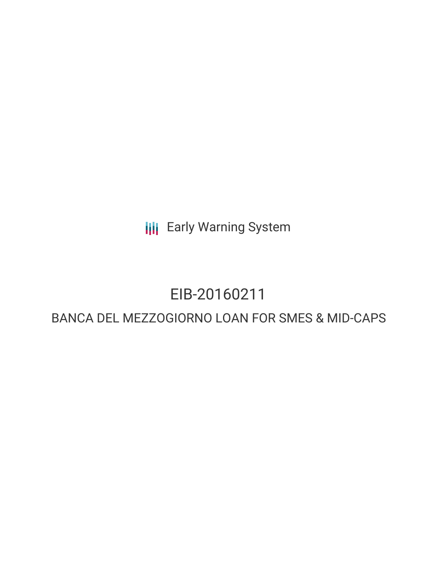**III** Early Warning System

# EIB-20160211

## BANCA DEL MEZZOGIORNO LOAN FOR SMES & MID-CAPS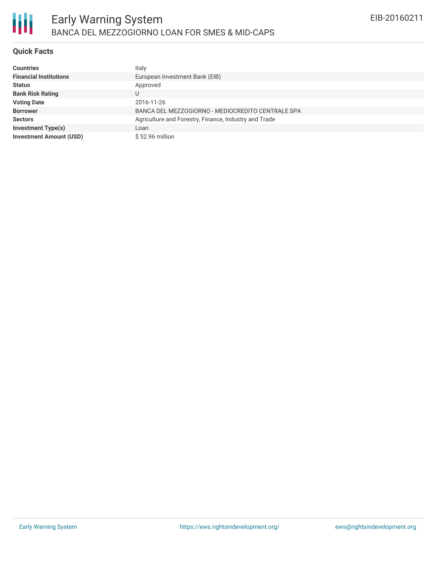

### **Quick Facts**

| <b>Countries</b>               | Italy                                                 |
|--------------------------------|-------------------------------------------------------|
| <b>Financial Institutions</b>  | European Investment Bank (EIB)                        |
| <b>Status</b>                  | Approved                                              |
| <b>Bank Risk Rating</b>        | U                                                     |
| <b>Voting Date</b>             | 2016-11-26                                            |
| <b>Borrower</b>                | BANCA DEL MEZZOGIORNO - MEDIOCREDITO CENTRALE SPA     |
| <b>Sectors</b>                 | Agriculture and Forestry, Finance, Industry and Trade |
| <b>Investment Type(s)</b>      | Loan                                                  |
| <b>Investment Amount (USD)</b> | \$52.96 million                                       |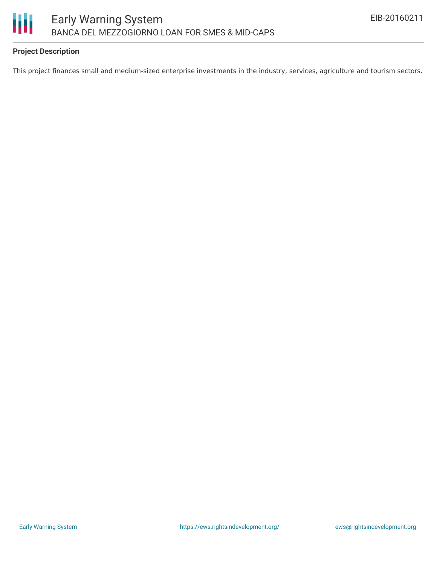

### **Project Description**

This project finances small and medium-sized enterprise investments in the industry, services, agriculture and tourism sectors.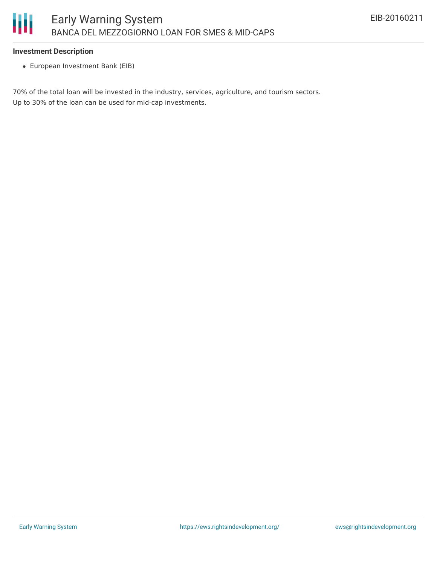#### **Investment Description**

European Investment Bank (EIB)

70% of the total loan will be invested in the industry, services, agriculture, and tourism sectors. Up to 30% of the loan can be used for mid-cap investments.